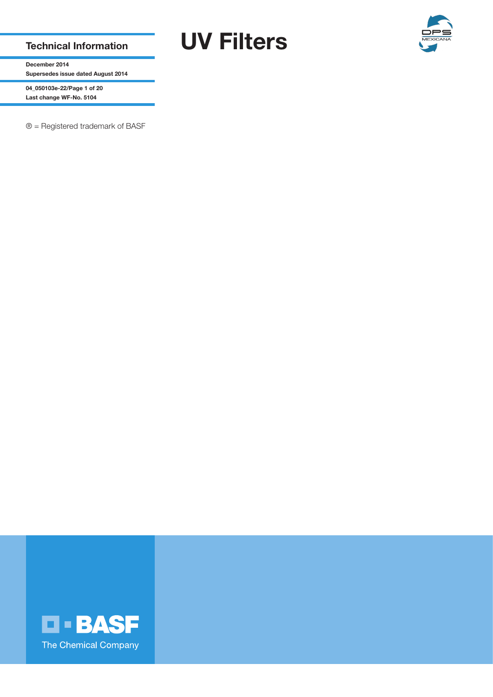Technical Information UV Filters



December 2014 Supersedes issue dated August 2014

04\_050103e-22/Page 1 of 20 Last change WF-No. 5104

® = Registered trademark of BASF

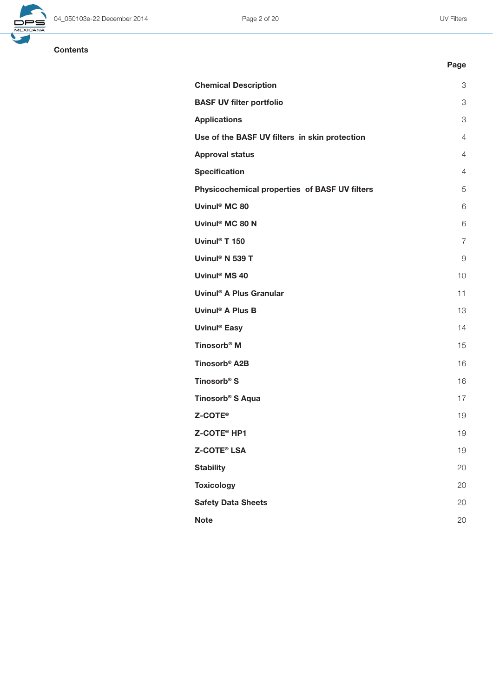

Page

# **Contents**

| <b>Chemical Description</b>                   | 3              |
|-----------------------------------------------|----------------|
| <b>BASF UV filter portfolio</b>               | 3              |
| <b>Applications</b>                           | 3              |
| Use of the BASF UV filters in skin protection | $\overline{4}$ |
| <b>Approval status</b>                        | $\overline{4}$ |
| <b>Specification</b>                          | $\overline{4}$ |
| Physicochemical properties of BASF UV filters | 5              |
| Uvinul <sup>®</sup> MC 80                     | 6              |
| Uvinul <sup>®</sup> MC 80 N                   | 6              |
| Uvinul <sup>®</sup> T 150                     | $\overline{7}$ |
| Uvinul <sup>®</sup> N 539 T                   | 9              |
| Uvinul <sup>®</sup> MS 40                     | 10             |
| Uvinul <sup>®</sup> A Plus Granular           | 11             |
| Uvinul <sup>®</sup> A Plus B                  | 13             |
| Uvinul <sup>®</sup> Easy                      | 14             |
| Tinosorb <sup>®</sup> M                       | 15             |
| Tinosorb <sup>®</sup> A2B                     | 16             |
| Tinosorb <sup>®</sup> S                       | 16             |
| Tinosorb <sup>®</sup> S Aqua                  | 17             |
| <b>Z-COTE</b> <sup>®</sup>                    | 19             |
| Z-COTE® HP1                                   | 19             |
| <b>Z-COTE® LSA</b>                            | 19             |
| <b>Stability</b>                              | 20             |
| <b>Toxicology</b>                             | 20             |
| <b>Safety Data Sheets</b>                     | 20             |
| <b>Note</b>                                   | 20             |
|                                               |                |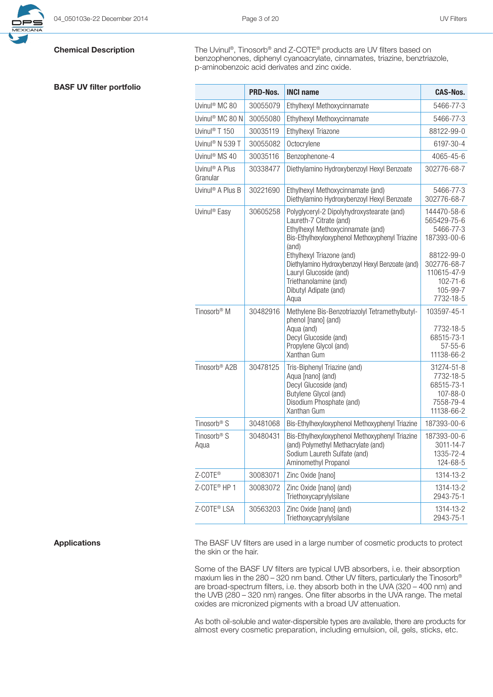

# BASF UV filter portfolio

**Chemical Description** The Uvinul®, Tinosorb® and Z-COTE® products are UV filters based on benzophenones, diphenyl cyanoacrylate, cinnamates, triazine, benztriazole, p-aminobenzoic acid derivates and zinc oxide.

|                                        | <b>PRD-Nos.</b> | <b>INCI name</b>                                                                                                                                                                                                                                                                                                                           | <b>CAS-Nos.</b>                                                                                                                               |
|----------------------------------------|-----------------|--------------------------------------------------------------------------------------------------------------------------------------------------------------------------------------------------------------------------------------------------------------------------------------------------------------------------------------------|-----------------------------------------------------------------------------------------------------------------------------------------------|
| Uvinul <sup>®</sup> MC 80              | 30055079        | Ethylhexyl Methoxycinnamate                                                                                                                                                                                                                                                                                                                | 5466-77-3                                                                                                                                     |
| Uvinul® MC 80 N                        | 30055080        | Ethylhexyl Methoxycinnamate                                                                                                                                                                                                                                                                                                                | 5466-77-3                                                                                                                                     |
| Uvinul <sup>®</sup> T 150              | 30035119        | Ethylhexyl Triazone                                                                                                                                                                                                                                                                                                                        | 88122-99-0                                                                                                                                    |
| Uvinul <sup>®</sup> N 539 T            | 30055082        | Octocrylene                                                                                                                                                                                                                                                                                                                                | 6197-30-4                                                                                                                                     |
| Uvinul <sup>®</sup> MS 40              | 30035116        | Benzophenone-4                                                                                                                                                                                                                                                                                                                             | 4065-45-6                                                                                                                                     |
| Uvinul <sup>®</sup> A Plus<br>Granular | 30338477        | Diethylamino Hydroxybenzoyl Hexyl Benzoate                                                                                                                                                                                                                                                                                                 | 302776-68-7                                                                                                                                   |
| Uvinul <sup>®</sup> A Plus B           | 30221690        | Ethylhexyl Methoxycinnamate (and)<br>Diethylamino Hydroxybenzoyl Hexyl Benzoate                                                                                                                                                                                                                                                            | 5466-77-3<br>302776-68-7                                                                                                                      |
| Uvinul <sup>®</sup> Easy               | 30605258        | Polyglyceryl-2 Dipolyhydroxystearate (and)<br>Laureth-7 Citrate (and)<br>Ethylhexyl Methoxycinnamate (and)<br>Bis-Ethylhexyloxyphenol Methoxyphenyl Triazine<br>(and)<br>Ethylhexyl Triazone (and)<br>Diethylamino Hydroxybenzoyl Hexyl Benzoate (and)<br>Lauryl Glucoside (and)<br>Triethanolamine (and)<br>Dibutyl Adipate (and)<br>Aqua | 144470-58-6<br>565429-75-6<br>5466-77-3<br>187393-00-6<br>88122-99-0<br>302776-68-7<br>110615-47-9<br>$102 - 71 - 6$<br>105-99-7<br>7732-18-5 |
| Tinosorb <sup>®</sup> M                | 30482916        | Methylene Bis-Benzotriazolyl Tetramethylbutyl-<br>phenol [nano] (and)<br>Aqua (and)<br>Decyl Glucoside (and)<br>Propylene Glycol (and)<br>Xanthan Gum                                                                                                                                                                                      | 103597-45-1<br>7732-18-5<br>68515-73-1<br>$57 - 55 - 6$<br>11138-66-2                                                                         |
| Tinosorb <sup>®</sup> A2B              | 30478125        | Tris-Biphenyl Triazine (and)<br>Aqua [nano] (and)<br>Decyl Glucoside (and)<br>Butylene Glycol (and)<br>Disodium Phosphate (and)<br>Xanthan Gum                                                                                                                                                                                             | 31274-51-8<br>7732-18-5<br>68515-73-1<br>107-88-0<br>7558-79-4<br>11138-66-2                                                                  |
| Tinosorb <sup>®</sup> S                | 30481068        | Bis-Ethylhexyloxyphenol Methoxyphenyl Triazine                                                                                                                                                                                                                                                                                             | 187393-00-6                                                                                                                                   |
| Tinosorb <sup>®</sup> S<br>Aqua        | 30480431        | Bis-Ethylhexyloxyphenol Methoxyphenyl Triazine<br>(and) Polymethyl Methacrylate (and)<br>Sodium Laureth Sulfate (and)<br>Aminomethyl Propanol                                                                                                                                                                                              | 187393-00-6<br>3011-14-7<br>1335-72-4<br>124-68-5                                                                                             |
| Z-COTE®                                | 30083071        | Zinc Oxide [nano]                                                                                                                                                                                                                                                                                                                          | 1314-13-2                                                                                                                                     |
| Z-COTE <sup>®</sup> HP 1               | 30083072        | Zinc Oxide [nano] (and)<br>Triethoxycaprylylsilane                                                                                                                                                                                                                                                                                         | 1314-13-2<br>2943-75-1                                                                                                                        |
| Z-COTE® LSA                            | 30563203        | Zinc Oxide [nano] (and)<br>Triethoxycaprylylsilane                                                                                                                                                                                                                                                                                         | 1314-13-2<br>2943-75-1                                                                                                                        |

Applications The BASF UV filters are used in a large number of cosmetic products to protect the skin or the hair.

> Some of the BASF UV filters are typical UVB absorbers, i.e. their absorption maxium lies in the 280 – 320 nm band. Other UV filters, particularly the Tinosorb® are broad-spectrum filters, i.e. they absorb both in the UVA (320 – 400 nm) and the UVB (280 – 320 nm) ranges. One filter absorbs in the UVA range. The metal oxides are micronized pigments with a broad UV attenuation.

> As both oil-soluble and water-dispersible types are available, there are products for almost every cosmetic preparation, including emulsion, oil, gels, sticks, etc.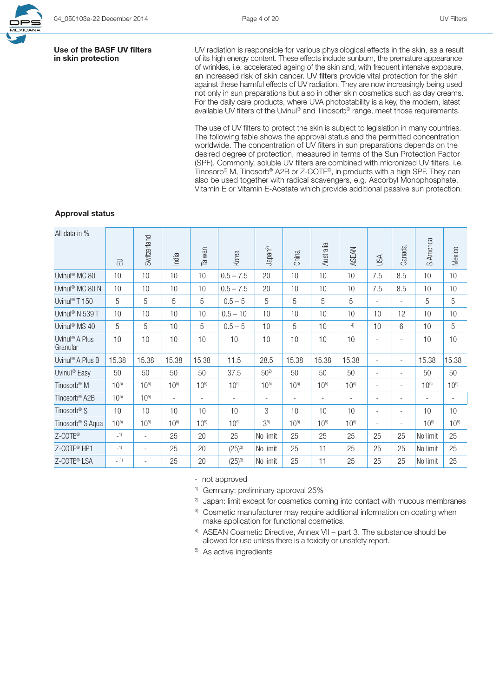### Use of the BASF UV filters in skin protection

UV radiation is responsible for various physiological effects in the skin, as a result of its high energy content. These effects include sunburn, the premature appearance of wrinkles, i.e. accelerated ageing of the skin and, with frequent intensive exposure, an increased risk of skin cancer. UV filters provide vital protection for the skin against these harmful effects of UV radiation. They are now increasingly being used not only in sun preparations but also in other skin cosmetics such as day creams. For the daily care products, where UVA photostability is a key, the modern, latest available UV filters of the Uvinul® and Tinosorb® range, meet those requirements.

The use of UV filters to protect the skin is subject to legislation in many countries. The following table shows the approval status and the permitted concentration worldwide. The concentration of UV filters in sun preparations depends on the desired degree of protection, measured in terms of the Sun Protection Factor (SPF). Commonly, soluble UV filters are combined with micronized UV filters, i.e. Tinosorb® M, Tinosorb® A2B or Z-COTE®, in products with a high SPF. They can also be used together with radical scavengers, e.g. Ascorbyl Monophosphate, Vitamin E or Vitamin E-Acetate which provide additional passive sun protection.

### Approval status

| All data in %                          | 己        | Switzerland              | India                    | Taiwan                   | Korea                    | Japan <sup>2)</sup>      | China                    | Australia                | <b>ASEAN</b>             | USA                      | Canada                   | S.America | Mexico                   |
|----------------------------------------|----------|--------------------------|--------------------------|--------------------------|--------------------------|--------------------------|--------------------------|--------------------------|--------------------------|--------------------------|--------------------------|-----------|--------------------------|
| Uvinul <sup>®</sup> MC 80              | 10       | 10                       | 10                       | 10                       | $0.5 - 7.5$              | 20                       | 10                       | 10                       | 10                       | 7.5                      | 8.5                      | 10        | 10                       |
| Uvinul <sup>®</sup> MC 80 N            | 10       | 10                       | 10                       | 10                       | $0.5 - 7.5$              | 20                       | 10                       | 10                       | 10                       | 7.5                      | 8.5                      | 10        | 10                       |
| Uvinul <sup>®</sup> T 150              | 5        | 5                        | 5                        | 5                        | $0.5 - 5$                | 5                        | 5                        | 5                        | 5                        | $\overline{\phantom{a}}$ |                          | 5         | 5                        |
| Uvinul <sup>®</sup> N 539 T            | 10       | 10                       | 10                       | 10                       | $0.5 - 10$               | 10                       | 10                       | 10                       | 10                       | 10                       | 12                       | 10        | 10                       |
| Uvinul <sup>®</sup> MS 40              | 5        | 5                        | 10                       | 5                        | $0.5 - 5$                | 10                       | 5                        | 10                       | 4)                       | 10                       | 6                        | 10        | 5                        |
| Uvinul <sup>®</sup> A Plus<br>Granular | 10       | 10                       | 10                       | 10                       | 10                       | 10                       | 10                       | 10                       | 10                       | ٠                        |                          | 10        | 10                       |
| Uvinul <sup>®</sup> A Plus B           | 15.38    | 15.38                    | 15.38                    | 15.38                    | 11.5                     | 28.5                     | 15.38                    | 15.38                    | 15.38                    | $\overline{\phantom{a}}$ | $\overline{\phantom{a}}$ | 15.38     | 15.38                    |
| Uvinul <sup>®</sup> Easy               | 50       | 50                       | 50                       | 50                       | 37.5                     | $50^{2}$                 | 50                       | 50                       | 50                       | $\overline{\phantom{a}}$ |                          | 50        | 50                       |
| Tinosorb <sup>®</sup> M                | $10^{5}$ | $10^{5}$                 | $10^{5}$                 | $10^{5}$                 | $10^{5}$                 | $10^{5}$                 | $10^{5}$                 | $10^{5}$                 | $10^{5}$                 | $\overline{\phantom{a}}$ |                          | $10^{5}$  | $10^{5}$                 |
| Tinosorb <sup>®</sup> A2B              | $10^{5}$ | $10^{5}$                 | $\overline{\phantom{a}}$ | $\overline{\phantom{a}}$ | $\overline{\phantom{a}}$ | $\overline{\phantom{a}}$ | $\overline{\phantom{a}}$ | $\overline{\phantom{a}}$ | $\overline{\phantom{a}}$ | $\overline{\phantom{a}}$ | $\overline{\phantom{a}}$ | $\sim$    | $\overline{\phantom{a}}$ |
| Tinosorb <sup>®</sup> S                | 10       | 10                       | 10                       | 10                       | 10                       | 3                        | 10                       | 10                       | 10                       | $\overline{\phantom{a}}$ | ٠                        | 10        | 10                       |
| Tinosorb <sup>®</sup> S Aqua           | $10^{5}$ | $10^{5}$                 | $10^{5}$                 | $10^{5}$                 | $10^{5}$                 | 3 <sup>5</sup>           | $10^{5}$                 | $10^{5}$                 | $10^{5}$                 | $\overline{\phantom{a}}$ | $\overline{\phantom{a}}$ | $10^{5}$  | $10^{5}$                 |
| Z-COTE®                                | $-1)$    | $\overline{\phantom{a}}$ | 25                       | 20                       | 25                       | No limit                 | 25                       | 25                       | 25                       | 25                       | 25                       | No limit  | 25                       |
| Z-COTE <sup>®</sup> HP1                | $-1)$    | $\overline{\phantom{a}}$ | 25                       | 20                       | $(25)^{3}$               | No limit                 | 25                       | 11                       | 25                       | 25                       | 25                       | No limit  | 25                       |
| Z-COTE <sup>®</sup> LSA                | $-1)$    | $\overline{\phantom{a}}$ | 25                       | 20                       | $(25)^{3}$               | No limit                 | 25                       | 11                       | 25                       | 25                       | 25                       | No limit  | 25                       |

- not approved

1) Germany: preliminary approval 25%

<sup>2)</sup> Japan: limit except for cosmetics coming into contact with mucous membranes

<sup>3)</sup> Cosmetic manufacturer may require additional information on coating when make application for functional cosmetics.

4) ASEAN Cosmetic Directive, Annex VII – part 3. The substance should be allowed for use unless there is a toxicity or unsafety report.

5) As active ingredients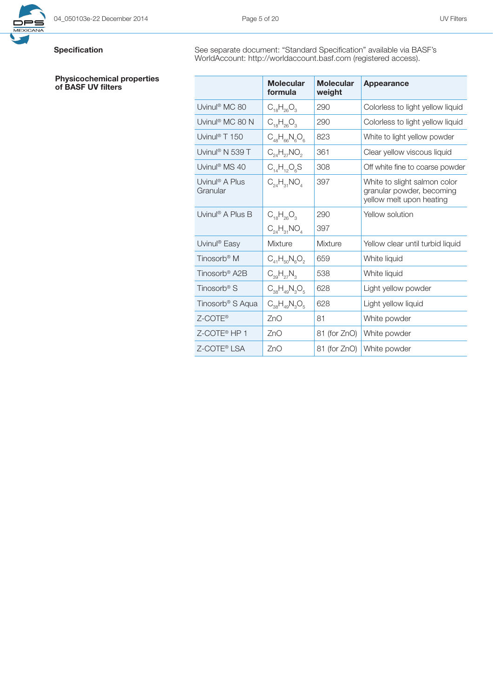### Physicochemical properties of BASF UV filters

Specification See separate document: "Standard Specification" available via BASF's WorldAccount: http://worldaccount.basf.com (registered access).

|                                        | <b>Molecular</b><br>formula | <b>Molecular</b><br>weight | <b>Appearance</b>                                                                     |
|----------------------------------------|-----------------------------|----------------------------|---------------------------------------------------------------------------------------|
| Uvinul <sup>®</sup> MC 80              | $C_{18}H_{26}O_3$           | 290                        | Colorless to light yellow liquid                                                      |
| Uvinul <sup>®</sup> MC 80 N            | $C_{18}H_{26}O_3$           | 290                        | Colorless to light yellow liquid                                                      |
| Uvinul <sup>®</sup> T 150              | $C_{48}H_{66}N_6O_6$        | 823                        | White to light yellow powder                                                          |
| Uvinul <sup>®</sup> N 539 T            | $C_{24}H_{27}NO_2$          | 361                        | Clear yellow viscous liquid                                                           |
| Uvinul <sup>®</sup> MS 40              | $C_{14}H_{12}O_6S$          | 308                        | Off white fine to coarse powder                                                       |
| Uvinul <sup>®</sup> A Plus<br>Granular | $C_{24}H_{31}NO_4$          | 397                        | White to slight salmon color<br>granular powder, becoming<br>yellow melt upon heating |
| Uvinul <sup>®</sup> A Plus B           | $C_{18}H_{26}O_3$           | 290                        | Yellow solution                                                                       |
|                                        | $C_{24}H_{31}NO_4$          | 397                        |                                                                                       |
| Uvinul <sup>®</sup> Easy               | Mixture                     | Mixture                    | Yellow clear until turbid liquid                                                      |
| Tinosorb <sup>®</sup> M                | $C_{41}H_{50}N_6O_2$        | 659                        | White liquid                                                                          |
| Tinosorb <sup>®</sup> A2B              | $C_{39}H_{27}N_3$           | 538                        | White liquid                                                                          |
| Tinosorb <sup>®</sup> S                | $C_{38}H_{49}N_3O_5$        | 628                        | Light yellow powder                                                                   |
| Tinosorb <sup>®</sup> S Aqua           | $C_{38}H_{49}N_3O_5$        | 628                        | Light yellow liquid                                                                   |
| Z-COTE®                                | 7nO                         | 81                         | White powder                                                                          |
| Z-COTE <sup>®</sup> HP 1               | ZnO                         | 81 (for ZnO)               | White powder                                                                          |
| Z-COTE® LSA                            | 7nO                         | 81 (for ZnO)               | White powder                                                                          |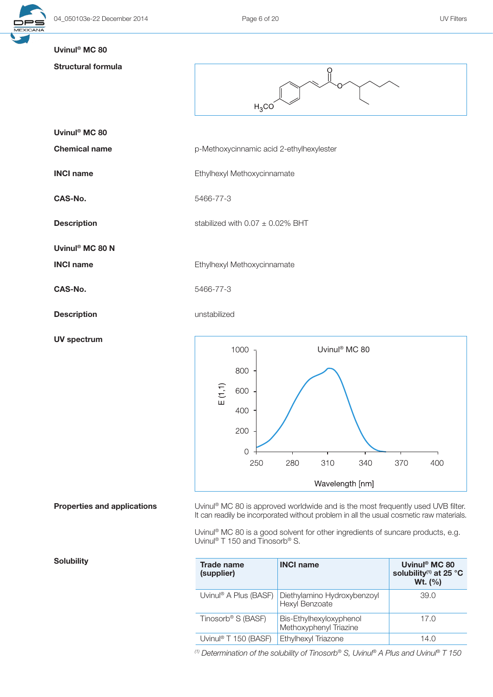

## Uvinul® MC 80

# Struc

| <b>Structural formula</b>   | Ö<br>$H_3CO$                             |  |  |
|-----------------------------|------------------------------------------|--|--|
| Uvinul <sup>®</sup> MC 80   |                                          |  |  |
| <b>Chemical name</b>        | p-Methoxycinnamic acid 2-ethylhexylester |  |  |
| <b>INCI name</b>            | Ethylhexyl Methoxycinnamate              |  |  |
| CAS-No.                     | 5466-77-3                                |  |  |
| <b>Description</b>          | stabilized with $0.07 \pm 0.02\%$ BHT    |  |  |
| Uvinul <sup>®</sup> MC 80 N |                                          |  |  |
| <b>INCI name</b>            | Ethylhexyl Methoxycinnamate              |  |  |
| CAS-No.                     | 5466-77-3                                |  |  |
| <b>Description</b>          | unstabilized                             |  |  |
| <b>UV spectrum</b>          | Uvinul <sup>®</sup> MC 80<br>$1000 -$    |  |  |



**Properties and applications** Uvinul<sup>®</sup> MC 80 is approved worldwide and is the most frequently used UVB filter. It can readily be incorporated without problem in all the usual cosmetic raw materials.

> Uvinul® MC 80 is a good solvent for other ingredients of suncare products, e.g. Uvinul® T 150 and Tinosorb® S.

| Trade name<br>(supplier)          | <b>INCI name</b>                                  | Uvinul <sup>®</sup> MC 80<br>solubility <sup>(1)</sup> at 25 °C<br><b>Wt.</b> $(% )$ |
|-----------------------------------|---------------------------------------------------|--------------------------------------------------------------------------------------|
| Uvinul <sup>®</sup> A Plus (BASF) | Diethylamino Hydroxybenzoyl<br>Hexyl Benzoate     | 39.0                                                                                 |
| Tinosorb <sup>®</sup> S (BASF)    | Bis-Ethylhexyloxyphenol<br>Methoxyphenyl Triazine | 17.0                                                                                 |
| Uvinul <sup>®</sup> T 150 (BASF)  | Ethylhexyl Triazone                               | 14.0                                                                                 |

*(1) Determination of the solubility of Tinosorb® S, Uvinul® A Plus and Uvinul® T 150*

|  |  | <b>Solubility</b> |
|--|--|-------------------|
|--|--|-------------------|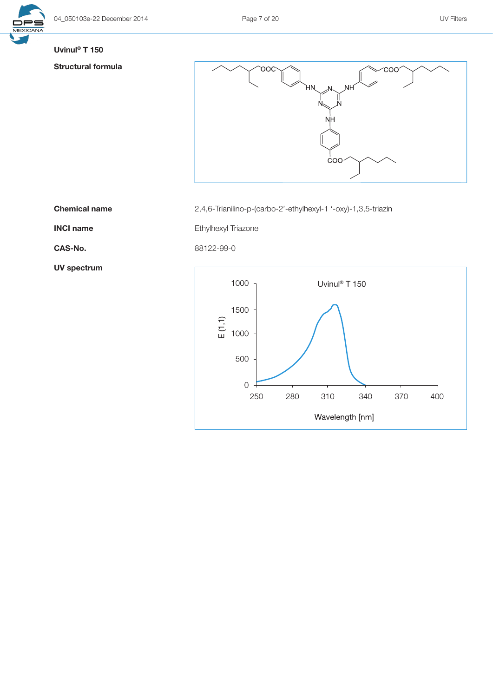

## Uvinul® T 150

# Structural formula



Chemical name 2,4,6-Trianilino-p-(carbo-2'-ethylhexyl-1 '-oxy)-1,3,5-triazin

INCI name **Ethylhexyl Triazone** 

CAS-No. 88122-99-0

UV spectrum

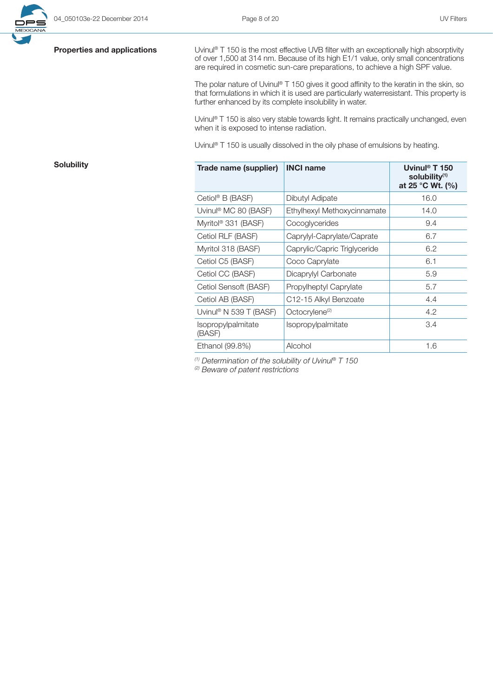

**Properties and applications** Uvinul® T 150 is the most effective UVB filter with an exceptionally high absorptivity of over 1,500 at 314 nm. Because of its high E1/1 value, only small concentrations are required in cosmetic sun-care preparations, to achieve a high SPF value.

> The polar nature of Uvinul® T 150 gives it good affinity to the keratin in the skin, so that formulations in which it is used are particularly waterresistant. This property is further enhanced by its complete insolubility in water.

> Uvinul<sup>®</sup> T 150 is also very stable towards light. It remains practically unchanged, even when it is exposed to intense radiation.

Uvinul<sup>®</sup> T 150 is usually dissolved in the oily phase of emulsions by heating.

| Solubility | Trade name (supplier)           | <b>INCI name</b>             | Uvinul <sup>®</sup> T 150<br>solubility <sup>(1)</sup><br>at 25 °C Wt. (%) |
|------------|---------------------------------|------------------------------|----------------------------------------------------------------------------|
|            | Cetiol® B (BASF)                | Dibutyl Adipate              | 16.0                                                                       |
|            | Uvinul® MC 80 (BASF)            | Ethylhexyl Methoxycinnamate  | 14.0                                                                       |
|            | Myritol <sup>®</sup> 331 (BASF) | Cocoglycerides               | 9.4                                                                        |
|            | Cetiol RLF (BASF)               | Caprylyl-Caprylate/Caprate   | 6.7                                                                        |
|            | Myritol 318 (BASF)              | Caprylic/Capric Triglyceride | 6.2                                                                        |
|            | Cetiol C5 (BASF)                | Coco Caprylate               | 6.1                                                                        |
|            | Cetiol CC (BASF)                | Dicaprylyl Carbonate         | 5.9                                                                        |
|            | Cetiol Sensoft (BASF)           | Propylheptyl Caprylate       | 5.7                                                                        |
|            | Cetiol AB (BASF)                | C12-15 Alkyl Benzoate        | 4.4                                                                        |
|            | Uvinul® N 539 T (BASF)          | Octocrylene <sup>(2)</sup>   | 4.2                                                                        |
|            | Isopropylpalmitate<br>(BASF)    | Isopropylpalmitate           | 3.4                                                                        |
|            | Ethanol (99.8%)                 | Alcohol                      | 1.6                                                                        |

*(1) Determination of the solubility of Uvinul® T 150* 

*(2) Beware of patent restrictions*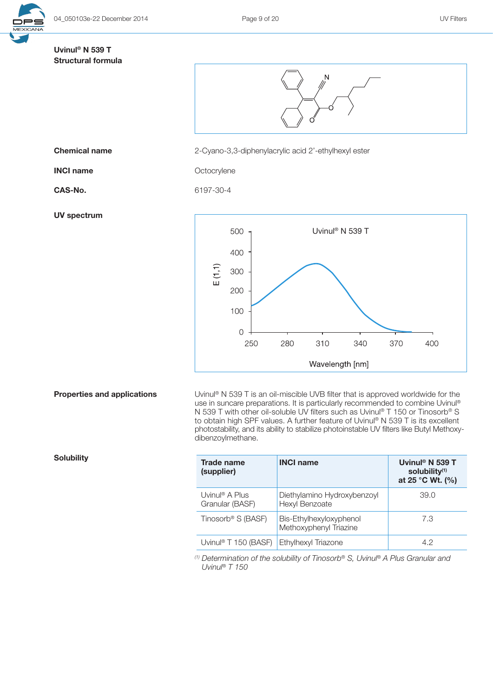

# Uvinul® N 539 T Structural formula



**Chemical name** 2-Cyano-3,3-diphenylacrylic acid 2'-ethylhexyl ester

INCI name Octocrylene

UV spectrum

CAS-No. 6197-30-4



**Properties and applications** Uvinul® N 539 T is an oil-miscible UVB filter that is approved worldwide for the use in suncare preparations. It is particularly recommended to combine Uvinul® N 539 T with other oil-soluble UV filters such as Uvinul® T 150 or Tinosorb® S to obtain high SPF values. A further feature of Uvinul® N 539 T is its excellent photostability, and its ability to stabilize photoinstable UV filters like Butyl Methoxydibenzoylmethane.

| <b>Trade name</b><br>(supplier)               | <b>INCI name</b>                                  | Uvinul <sup>®</sup> N 539 T<br>solubility <sup>(1)</sup><br>at 25 °C Wt. (%) |
|-----------------------------------------------|---------------------------------------------------|------------------------------------------------------------------------------|
| Uvinul <sup>®</sup> A Plus<br>Granular (BASF) | Diethylamino Hydroxybenzoyl<br>Hexyl Benzoate     | 39.0                                                                         |
| Tinosorb <sup>®</sup> S (BASF)                | Bis-Ethylhexyloxyphenol<br>Methoxyphenyl Triazine | 7.3                                                                          |
| Uvinul <sup>®</sup> T 150 (BASF)              | Ethylhexyl Triazone                               | 42                                                                           |

*(1) Determination of the solubility of Tinosorb® S, Uvinul® A Plus Granular and Uvinul*® *T 150*

Solubility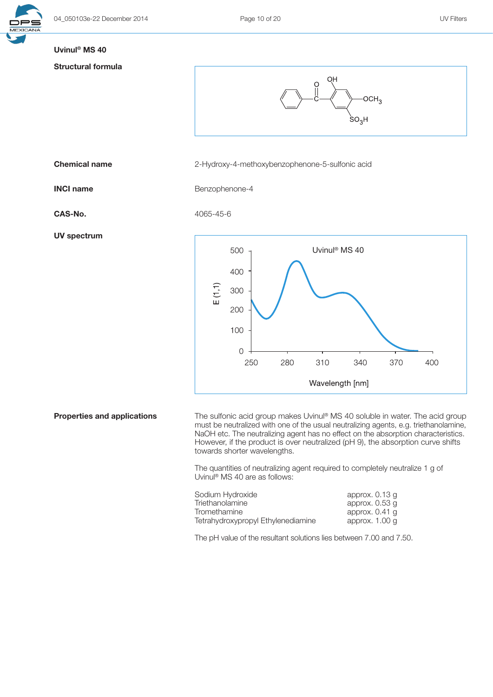

### Uvinul® MS 40

UV spectrum

### Structural formula



**Properties and applications** The sulfonic acid group makes Uvinul<sup>®</sup> MS 40 soluble in water. The acid group must be neutralized with one of the usual neutralizing agents, e.g. triethanolamine, NaOH etc. The neutralizing agent has no effect on the absorption characteristics. However, if the product is over neutralized (pH 9), the absorption curve shifts towards shorter wavelengths.

Wavelength [nm]

The quantities of neutralizing agent required to completely neutralize 1 g of Uvinul ® MS 40 are as follows:

| Sodium Hydroxide                   | approx. 0.13 g   |
|------------------------------------|------------------|
| Triethanolamine                    | approx. $0.53$ q |
| Tromethamine                       | approx. $0.41$ q |
| Tetrahydroxypropyl Ethylenediamine | approx. 1.00 g   |

The pH value of the resultant solutions lies between 7.00 and 7.50.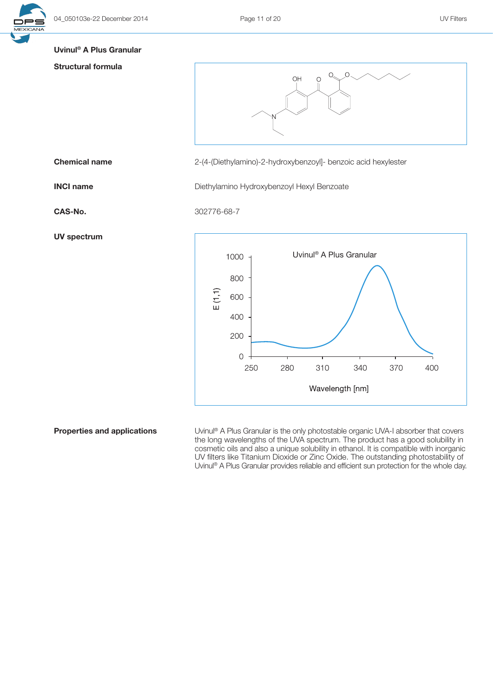



# Structural formula

OH  $\bigcirc$ 

Chemical name 2-(4-(Diethylamino)-2-hydroxybenzoyl]- benzoic acid hexylester

**INCI name** Diethylamino Hydroxybenzoyl Hexyl Benzoate

CAS-No. 302776-68-7





**Properties and applications** Uvinul® A Plus Granular is the only photostable organic UVA-I absorber that covers the long wavelengths of the UVA spectrum. The product has a good solubility in cosmetic oils and also a unique solubility in ethanol. It is compatible with inorganic UV filters like Titanium Dioxide or Zinc Oxide. The outstanding photostability of Uvinul® A Plus Granular provides reliable and efficient sun protection for the whole day.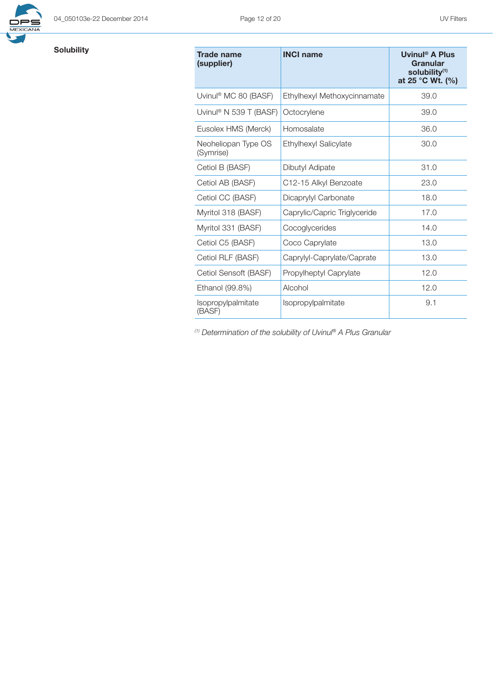

# Solubility

| Trade name<br>(supplier)           | <b>INCI name</b>             | Uvinul <sup>®</sup> A Plus<br>Granular<br>solubility <sup>(1)</sup><br>at 25 °C Wt. $(\% )$ |
|------------------------------------|------------------------------|---------------------------------------------------------------------------------------------|
| Uvinul <sup>®</sup> MC 80 (BASF)   | Ethylhexyl Methoxycinnamate  | 39.0                                                                                        |
| Uvinul <sup>®</sup> N 539 T (BASF) | Octocrylene                  | 39.0                                                                                        |
| Eusolex HMS (Merck)                | Homosalate                   | 36.0                                                                                        |
| Neoheliopan Type OS<br>(Symrise)   | Ethylhexyl Salicylate        | 30.0                                                                                        |
| Cetiol B (BASF)                    | Dibutyl Adipate              | 31.0                                                                                        |
| Cetiol AB (BASF)                   | C12-15 Alkyl Benzoate        | 23.0                                                                                        |
| Cetiol CC (BASF)                   | Dicaprylyl Carbonate         | 18.0                                                                                        |
| Myritol 318 (BASF)                 | Caprylic/Capric Triglyceride | 17.0                                                                                        |
| Myritol 331 (BASF)                 | Cocoglycerides               | 14.0                                                                                        |
| Cetiol C5 (BASF)                   | Coco Caprylate               | 13.0                                                                                        |
| Cetiol RLF (BASF)                  | Caprylyl-Caprylate/Caprate   | 13.0                                                                                        |
| Cetiol Sensoft (BASF)              | Propylheptyl Caprylate       | 12.0                                                                                        |
| Ethanol (99.8%)                    | Alcohol                      | 12.0                                                                                        |
| Isopropylpalmitate<br>(BASF)       | <i>Isopropylpalmitate</i>    | 9.1                                                                                         |

*(1) Determination of the solubility of Uvinul® A Plus Granular*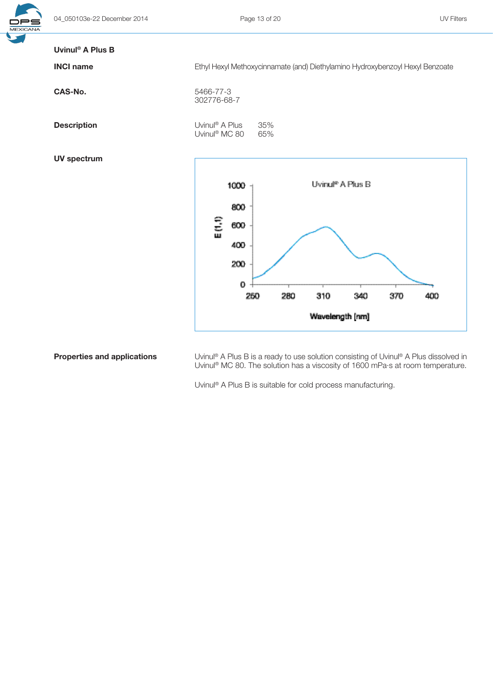| Uvinul <sup>®</sup> A Plus B |                                                                               |  |  |
|------------------------------|-------------------------------------------------------------------------------|--|--|
| <b>INCI name</b>             | Ethyl Hexyl Methoxycinnamate (and) Diethylamino Hydroxybenzoyl Hexyl Benzoate |  |  |
| CAS-No.                      | 5466-77-3<br>302776-68-7                                                      |  |  |
| <b>Description</b>           | Uvinul <sup>®</sup> A Plus<br>35%<br>Uvinul <sup>®</sup> MC 80<br>65%         |  |  |
| <b>UV spectrum</b>           |                                                                               |  |  |
|                              | Uvinul <sup>e</sup> A Plus B<br>1000                                          |  |  |
|                              | 800<br>٤î<br>600<br>400<br>200<br>0                                           |  |  |
|                              | 250<br>280<br>310<br>370<br>400<br>340                                        |  |  |
|                              | Wavelength [nm]                                                               |  |  |

**Properties and applications** Uvinul® A Plus B is a ready to use solution consisting of Uvinul® A Plus dissolved in Uvinul® MC 80. The solution has a viscosity of 1600 mPa·s at room temperature.

Uvinul® A Plus B is suitable for cold process manufacturing.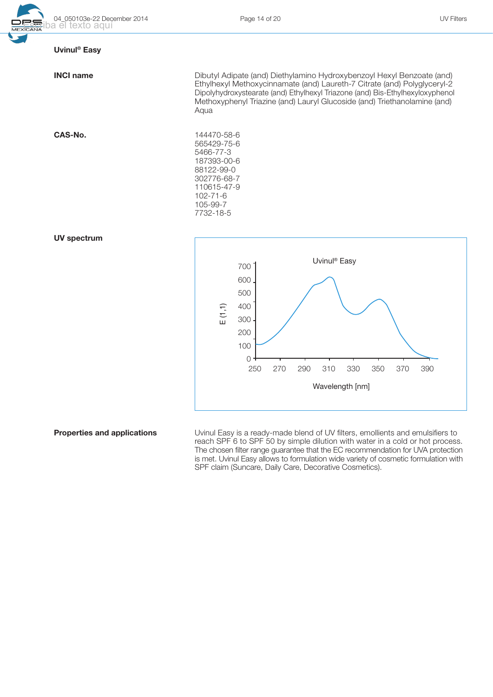

## Uvinul® Easy

|  | <b>INCI name</b> |
|--|------------------|
|--|------------------|

Dibutyl Adipate (and) Diethylamino Hydroxybenzoyl Hexyl Benzoate (and) Ethylhexyl Methoxycinnamate (and) Laureth-7 Citrate (and) Polyglyceryl-2 Dipolyhydroxystearate (and) Ethylhexyl Triazone (and) Bis-Ethylhexyloxyphenol Methoxyphenyl Triazine (and) Lauryl Glucoside (and) Triethanolamine (and) Aqua

302776-68-7 110615-47-9 102-71-6 105-99-7 7732-18-5

565429-75-6 5466-77-3 187393-00-6 88122-99-0

CAS-No. 144470-58-6





**Properties and applications** Uvinul Easy is a ready-made blend of UV filters, emollients and emulsifiers to reach SPF 6 to SPF 50 by simple dilution with water in a cold or hot process. The chosen filter range guarantee that the EC recommendation for UVA protection is met. Uvinul Easy allows to formulation wide variety of cosmetic formulation with SPF claim (Suncare, Daily Care, Decorative Cosmetics).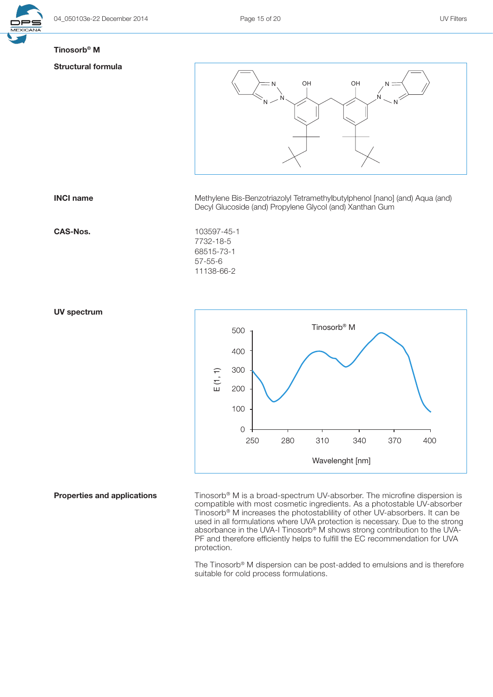

## Tinosorb® M

### Structural formula



**INCI name** Methylene Bis-Benzotriazolyl Tetramethylbutylphenol [nano] (and) Aqua (and) Decyl Glucoside (and) Propylene Glycol (and) Xanthan Gum

### CAS-Nos. 103597-45-1

7732-18-5 68515-73-1 57-55-6 11138-66-2

### UV spectrum



**Properties and applications** Tinosorb® M is a broad-spectrum UV-absorber. The microfine dispersion is compatible with most cosmetic ingredients. As a photostable UV-absorber Tinosorb® M increases the photostablility of other UV-absorbers. It can be used in all formulations where UVA protection is necessary. Due to the strong absorbance in the UVA-I Tinosorb® M shows strong contribution to the UVA-PF and therefore efficiently helps to fulfill the EC recommendation for UVA protection.

> The Tinosorb® M dispersion can be post-added to emulsions and is therefore suitable for cold process formulations.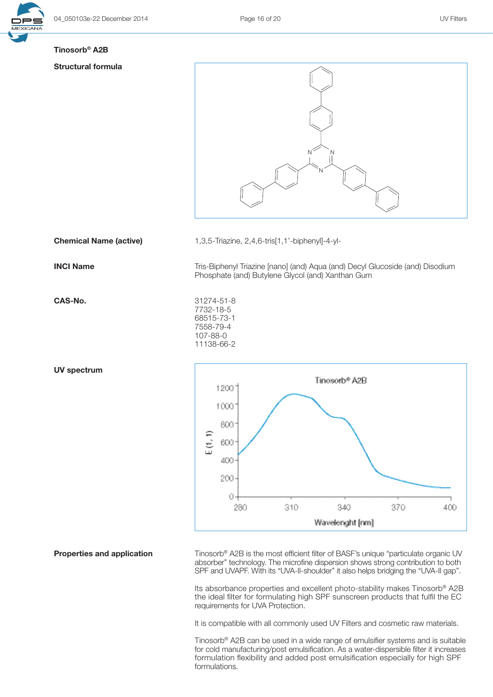

# Tinosorb® A2B

### Structural formula



CAS-No. 31274-51-8

UV spectrum

**Chemical Name (active)** 1,3,5-Triazine, 2,4,6-tris[1,1'-biphenyl]-4-yl-

**INCI Name** Tris-Biphenyl Triazine [nano] (and) Aqua (and) Decyl Glucoside (and) Disodium Phosphate (and) Butylene Glycol (and) Xanthan Gum

> 7732-18-5 68515-73-1 7558-79-4 107-88-0 11138-66-2



**Properties and application** Tinosorb® A2B is the most efficient filter of BASF's unique "particulate organic UV absorber" technology. The microfine dispersion shows strong contribution to both SPF and UVAPF. With its "UVA-II-shoulder" it also helps bridging the "UVA-II gap".

> Its absorbance properties and excellent photo-stability makes Tinosorb® A2B the ideal filter for formulating high SPF sunscreen products that fulfil the EC requirements for UVA Protection.

It is compatible with all commonly used UV Filters and cosmetic raw materials.

Tinosorb® A2B can be used in a wide range of emulsifier systems and is suitable for cold manufacturing/post emulsification. As a water-dispersible filter it increases formulation flexibility and added post emulsification especially for high SPF formulations.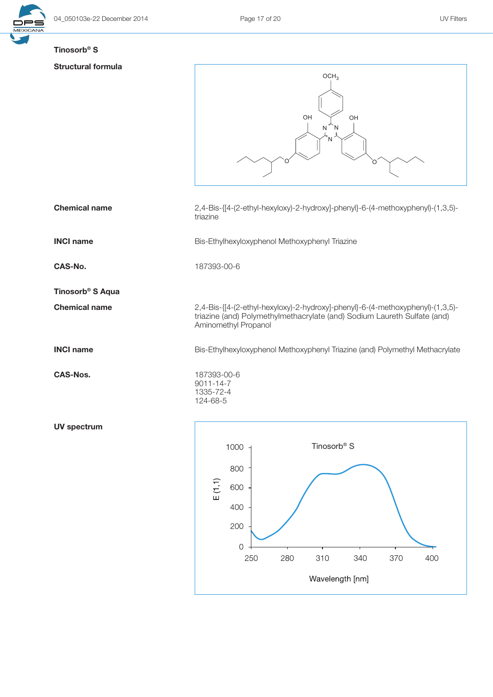

## Tinosorb® S

### Structura

| <b>Structural formula</b>    |                                                                                                  |  |  |  |
|------------------------------|--------------------------------------------------------------------------------------------------|--|--|--|
|                              | OCH <sub>3</sub>                                                                                 |  |  |  |
|                              |                                                                                                  |  |  |  |
|                              |                                                                                                  |  |  |  |
|                              | OH<br>OH                                                                                         |  |  |  |
|                              | ${\sf N}$<br>N                                                                                   |  |  |  |
|                              | N                                                                                                |  |  |  |
|                              | Ő                                                                                                |  |  |  |
|                              |                                                                                                  |  |  |  |
|                              |                                                                                                  |  |  |  |
| <b>Chemical name</b>         | 2,4-Bis-{[4-(2-ethyl-hexyloxy)-2-hydroxy]-phenyl}-6-(4-methoxyphenyl)-(1,3,5)-                   |  |  |  |
|                              | triazine                                                                                         |  |  |  |
|                              |                                                                                                  |  |  |  |
| <b>INCI name</b>             | Bis-Ethylhexyloxyphenol Methoxyphenyl Triazine                                                   |  |  |  |
| CAS-No.                      | 187393-00-6                                                                                      |  |  |  |
|                              |                                                                                                  |  |  |  |
| Tinosorb <sup>®</sup> S Aqua |                                                                                                  |  |  |  |
| <b>Chemical name</b>         | 2,4-Bis-{[4-(2-ethyl-hexyloxy)-2-hydroxy]-phenyl}-6-(4-methoxyphenyl)-(1,3,5)-                   |  |  |  |
|                              | triazine (and) Polymethylmethacrylate (and) Sodium Laureth Sulfate (and)<br>Aminomethyl Propanol |  |  |  |
|                              |                                                                                                  |  |  |  |
| <b>INCI name</b>             | Bis-Ethylhexyloxyphenol Methoxyphenyl Triazine (and) Polymethyl Methacrylate                     |  |  |  |
|                              |                                                                                                  |  |  |  |
| <b>CAS-Nos.</b>              | 187393-00-6<br>$9011 - 14 - 7$                                                                   |  |  |  |
|                              | 1335-72-4                                                                                        |  |  |  |
|                              | 124-68-5                                                                                         |  |  |  |
| <b>UV spectrum</b>           |                                                                                                  |  |  |  |
|                              |                                                                                                  |  |  |  |
|                              | Tinosorb <sup>®</sup> S<br>1000                                                                  |  |  |  |
|                              | 800                                                                                              |  |  |  |
|                              |                                                                                                  |  |  |  |
|                              | $\mathsf{E}\left( 1,1\right)$<br>600                                                             |  |  |  |
|                              | 400                                                                                              |  |  |  |
|                              | 200                                                                                              |  |  |  |

 $\mathbf 0$ 250

280

310

Wavelength [nm]

340

370

400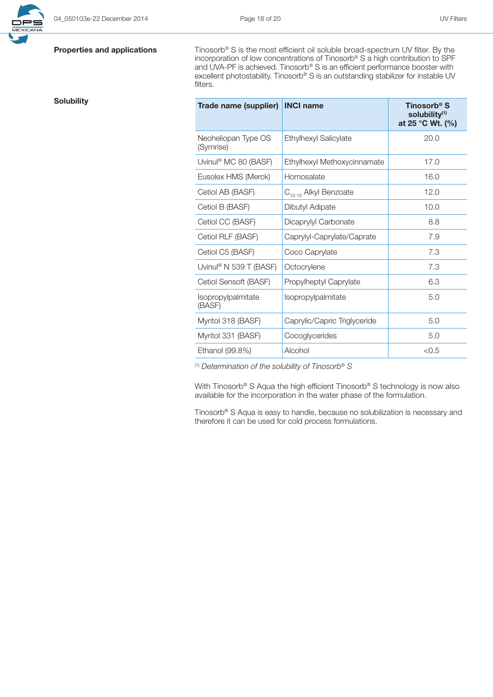

**Properties and applications** Tinosorb® S is the most efficient oil soluble broad-spectrum UV filter. By the incorporation of low concentrations of Tinosorb® S a high contribution to SPF and UVA-PF is achieved. Tinosorb® S is an efficient performance booster with excellent photostability. Tinosorb® S is an outstanding stabilizer for instable UV filters.

| <b>Solubility</b> | Trade name (supplier)              | <b>INCI name</b>                  | Tinosorb <sup>®</sup> S<br>solubility(1)<br>at 25 °C Wt. (%) |
|-------------------|------------------------------------|-----------------------------------|--------------------------------------------------------------|
|                   | Neoheliopan Type OS<br>(Symrise)   | Ethylhexyl Salicylate             | 20.0                                                         |
|                   | Uvinul <sup>®</sup> MC 80 (BASF)   | Ethylhexyl Methoxycinnamate       | 17.0                                                         |
|                   | Eusolex HMS (Merck)                | Homosalate                        | 16.0                                                         |
|                   | Cetiol AB (BASF)                   | C <sub>12-15</sub> Alkyl Benzoate | 12.0                                                         |
|                   | Cetiol B (BASF)                    | Dibutyl Adipate                   | 10.0                                                         |
|                   | Cetiol CC (BASF)                   | Dicaprylyl Carbonate              | 8.8                                                          |
|                   | Cetiol RLF (BASF)                  | Caprylyl-Caprylate/Caprate        | 7.9                                                          |
|                   | Cetiol C5 (BASF)                   | Coco Caprylate                    | 7.3                                                          |
|                   | Uvinul <sup>®</sup> N 539 T (BASF) | Octocrylene                       | 7.3                                                          |
|                   | Cetiol Sensoft (BASF)              | Propylheptyl Caprylate            | 6.3                                                          |
|                   | Isopropylpalmitate<br>(BASF)       | Isopropylpalmitate                | 5.0                                                          |
|                   | Myritol 318 (BASF)                 | Caprylic/Capric Triglyceride      | 5.0                                                          |
|                   | Myritol 331 (BASF)                 | Cocoglycerides                    | 5.0                                                          |
|                   | Ethanol (99.8%)                    | Alcohol                           | < 0.5                                                        |

(1) *Determination of the solubility of Tinosorb® S* 

With Tinosorb® S Aqua the high efficient Tinosorb® S technology is now also available for the incorporation in the water phase of the formulation.

Tinosorb® S Aqua is easy to handle, because no solubilization is necessary and therefore it can be used for cold process formulations.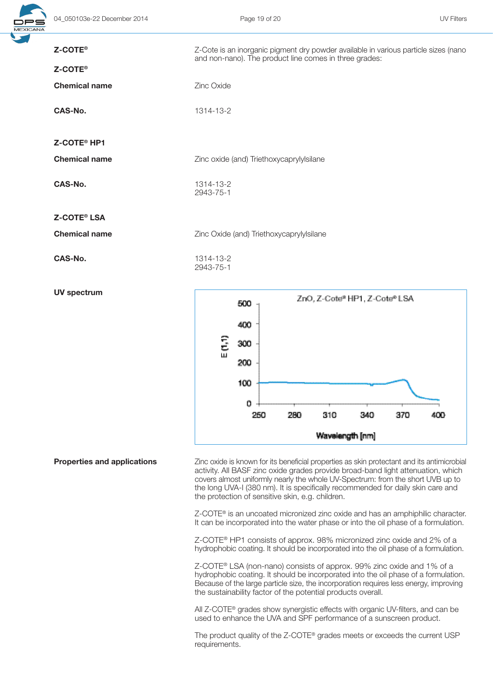

| Z-COTE <sup>®</sup><br>Z-COTE <sup>®</sup> | Z-Cote is an inorganic pigment dry powder available in various particle sizes (nano<br>and non-nano). The product line comes in three grades: |  |  |
|--------------------------------------------|-----------------------------------------------------------------------------------------------------------------------------------------------|--|--|
| <b>Chemical name</b>                       | Zinc Oxide                                                                                                                                    |  |  |
| CAS-No.                                    | 1314-13-2                                                                                                                                     |  |  |
| Z-COTE <sup>®</sup> HP1                    |                                                                                                                                               |  |  |
| <b>Chemical name</b>                       | Zinc oxide (and) Triethoxycaprylylsilane                                                                                                      |  |  |
| <b>CAS-No.</b>                             | 1314-13-2<br>2943-75-1                                                                                                                        |  |  |
| <b>Z-COTE® LSA</b>                         |                                                                                                                                               |  |  |
| <b>Chemical name</b>                       | Zinc Oxide (and) Triethoxycaprylylsilane                                                                                                      |  |  |
| CAS-No.                                    | 1314-13-2<br>2943-75-1                                                                                                                        |  |  |
| <b>UV spectrum</b>                         | ZnO, Z-Cote® HP1, Z-Cote® LSA<br>500<br>400                                                                                                   |  |  |
|                                            | E(1,1)<br>300<br>200                                                                                                                          |  |  |
|                                            | 100                                                                                                                                           |  |  |

ñ 250

280

**Properties and applications** Zinc oxide is known for its beneficial properties as skin protectant and its antimicrobial activity. All BASF zinc oxide grades provide broad-band light attenuation, which covers almost uniformly nearly the whole UV-Spectrum: from the short UVB up to the long UVA-I (380 nm). It is specifically recommended for daily skin care and the protection of sensitive skin, e.g. children.

310

Wavelength [nm]

340

370

400

Z-COTE® is an uncoated micronized zinc oxide and has an amphiphilic character. It can be incorporated into the water phase or into the oil phase of a formulation.

Z-COTE® HP1 consists of approx. 98% micronized zinc oxide and 2% of a hydrophobic coating. It should be incorporated into the oil phase of a formulation.

Z-COTE® LSA (non-nano) consists of approx. 99% zinc oxide and 1% of a hydrophobic coating. It should be incorporated into the oil phase of a formulation. Because of the large particle size, the incorporation requires less energy, improving the sustainability factor of the potential products overall.

All Z-COTE® grades show synergistic effects with organic UV-filters, and can be used to enhance the UVA and SPF performance of a sunscreen product.

The product quality of the Z-COTE® grades meets or exceeds the current USP requirements.